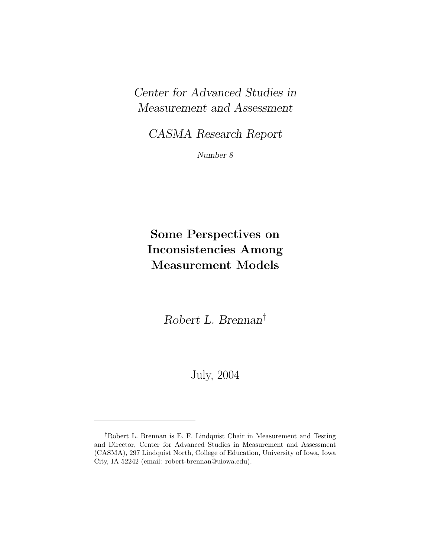*Center for Advanced Studies in Measurement and Assessment*

*CASMA Research Report*

*Number 8*

**Some Perspectives on Inconsistencies Among Measurement Models**

*Robert L. Brennan*†

July, 2004

<sup>†</sup>Robert L. Brennan is E. F. Lindquist Chair in Measurement and Testing and Director, Center for Advanced Studies in Measurement and Assessment (CASMA), 297 Lindquist North, College of Education, University of Iowa, Iowa City, IA 52242 (email: robert-brennan@uiowa.edu).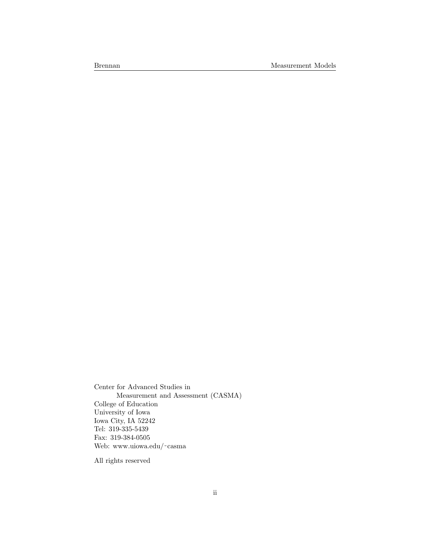Center for Advanced Studies in Measurement and Assessment (CASMA) College of Education University of Iowa Iowa City, IA 52242 Tel: 319-335-5439 Fax: 319-384-0505 Web: www.uiowa.edu/~casma

All rights reserved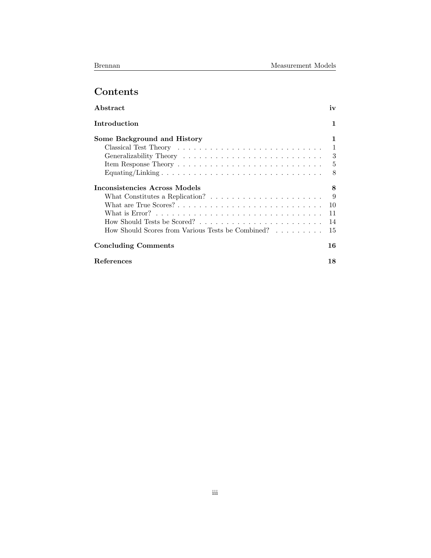# **Contents**

| Abstract                                                        | iv |
|-----------------------------------------------------------------|----|
| Introduction                                                    |    |
| Some Background and History                                     | 1  |
|                                                                 | 1  |
|                                                                 | 3  |
|                                                                 | 5  |
|                                                                 | 8  |
| Inconsistencies Across Models                                   | 8  |
|                                                                 | 9  |
|                                                                 | 10 |
|                                                                 | 11 |
|                                                                 | 14 |
| How Should Scores from Various Tests be Combined? $\dots \dots$ | 15 |
| <b>Concluding Comments</b>                                      | 16 |
| References                                                      | 18 |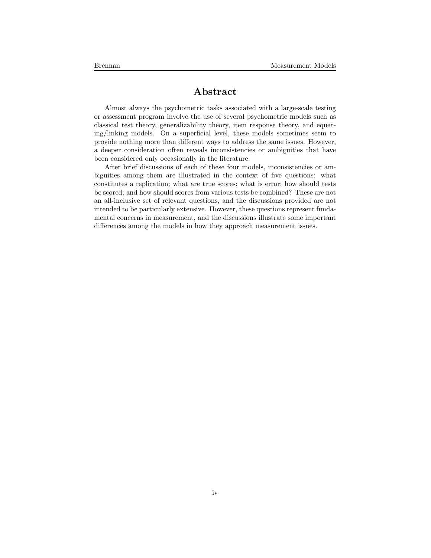## **Abstract**

Almost always the psychometric tasks associated with a large-scale testing or assessment program involve the use of several psychometric models such as classical test theory, generalizability theory, item response theory, and equating/linking models. On a superficial level, these models sometimes seem to provide nothing more than different ways to address the same issues. However, a deeper consideration often reveals inconsistencies or ambiguities that have been considered only occasionally in the literature.

After brief discussions of each of these four models, inconsistencies or ambiguities among them are illustrated in the context of five questions: what constitutes a replication; what are true scores; what is error; how should tests be scored; and how should scores from various tests be combined? These are not an all-inclusive set of relevant questions, and the discussions provided are not intended to be particularly extensive. However, these questions represent fundamental concerns in measurement, and the discussions illustrate some important differences among the models in how they approach measurement issues.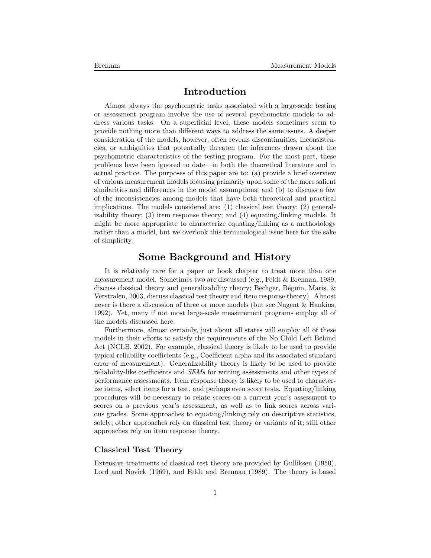## **Introduction**

Almost always the psychometric tasks associated with a large-scale testing or assessment program involve the use of several psychometric models to address various tasks. On a superficial level, these models sometimes seem to provide nothing more than different ways to address the same issues. A deeper consideration of the models, however, often reveals discontinuities, inconsistencies, or ambiguities that potentially threaten the inferences drawn about the psychometric characteristics of the testing program. For the most part, these problems have been ignored to date—in both the theoretical literature and in actual practice. The purposes of this paper are to: (a) provide a brief overview of various measurement models focusing primarily upon some of the more salient similarities and differences in the model assumptions; and (b) to discuss a few of the inconsistencies among models that have both theoretical and practical implications. The models considered are:  $(1)$  classical test theory;  $(2)$  generalizability theory; (3) item response theory; and (4) equating/linking models. It might be more appropriate to characterize equating/linking as a methodology rather than a model, but we overlook this terminological issue here for the sake of simplicity.

# **Some Background and History**

It is relatively rare for a paper or book chapter to treat more than one measurement model. Sometimes two are discussed (e.g., Feldt & Brennan, 1989, discuss classical theory and generalizability theory; Bechger, Béguin, Maris,  $\&$ Verstralen, 2003, discuss classical test theory and item response theory). Almost never is there a discussion of three or more models (but see Nugent & Hankins, 1992). Yet, many if not most large-scale measurement programs employ all of the models discussed here.

Furthermore, almost certainly, just about all states will employ all of these models in their efforts to satisfy the requirements of the No Child Left Behind Act (NCLB, 2002). For example, classical theory is likely to be used to provide typical reliability coefficients (e.g., Coefficient alpha and its associated standard error of measurement). Generalizability theory is likely to be used to provide reliability-like coefficients and SEMs for writing assessments and other types of performance assessments. Item response theory is likely to be used to characterize items, select items for a test, and perhaps even score tests. Equating/linking procedures will be necessary to relate scores on a current year's assessment to scores on a previous year's assessment, as well as to link scores across various grades. Some approaches to equating/linking rely on descriptive statistics, solely; other approaches rely on classical test theory or variants of it; still other approaches rely on item response theory.

### **Classical Test Theory**

Extensive treatments of classical test theory are provided by Gulliksen (1950), Lord and Novick (1969), and Feldt and Brennan (1989). The theory is based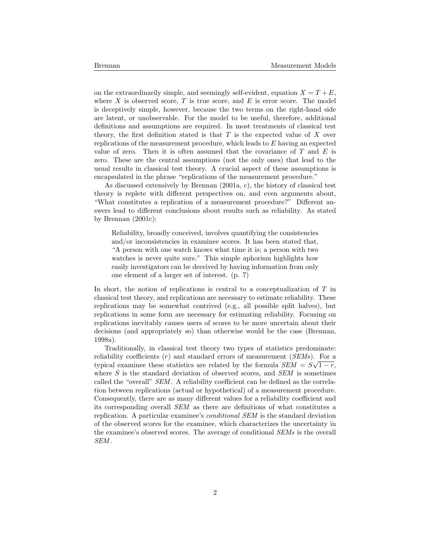on the extraordinarily simple, and seemingly self-evident, equation  $X = T + E$ , where  $X$  is observed score,  $T$  is true score, and  $E$  is error score. The model is deceptively simple, however, because the two terms on the right-hand side are latent, or unobservable. For the model to be useful, therefore, additional definitions and assumptions are required. In most treatments of classical test theory, the first definition stated is that *T* is the expected value of *X* over replications of the measurement procedure, which leads to *E* having an expected value of zero. Then it is often assumed that the covariance of *T* and *E* is zero. These are the central assumptions (not the only ones) that lead to the usual results in classical test theory. A crucial aspect of these assumptions is encapsulated in the phrase "replications of the measurement procedure."

As discussed extensively by Brennan (2001a, c), the history of classical test theory is replete with different perspectives on, and even arguments about, "What constitutes a replication of a measurement procedure?" Different answers lead to different conclusions about results such as reliability. As stated by Brennan (2001c):

Reliability, broadly conceived, involves quantifying the consistencies and/or inconsistencies in examinee scores. It has been stated that, "A person with one watch knows what time it is; a person with two watches is never quite sure." This simple aphorism highlights how easily investigators can be deceived by having information from only one element of a larger set of interest. (p. 7)

In short, the notion of replications is central to a conceptualization of *T* in classical test theory, and replications are necessary to estimate reliability. These replications may be somewhat contrived (e.g., all possible split halves), but replications in some form are necessary for estimating reliability. Focusing on replications inevitably causes users of scores to be more uncertain about their decisions (and appropriately so) than otherwise would be the case (Brennan, 1998a).

Traditionally, in classical test theory two types of statistics predominate: reliability coefficients  $(r)$  and standard errors of measurement  $(SEMs)$ . For a typical examinee these statistics are related by the formula  $SEM = S\sqrt{1-r}$ , where *S* is the standard deviation of observed scores, and *SEM* is sometimes called the "overall" SEM . A reliability coefficient can be defined as the correlation between replications (actual or hypothetical) of a measurement procedure. Consequently, there are as many different values for a reliability coefficient and its corresponding overall SEM as there are definitions of what constitutes a replication. A particular examinee's conditional SEM is the standard deviation of the observed scores for the examinee, which characterizes the uncertainty in the examinee's observed scores. The average of conditional SEMs is the overall SEM .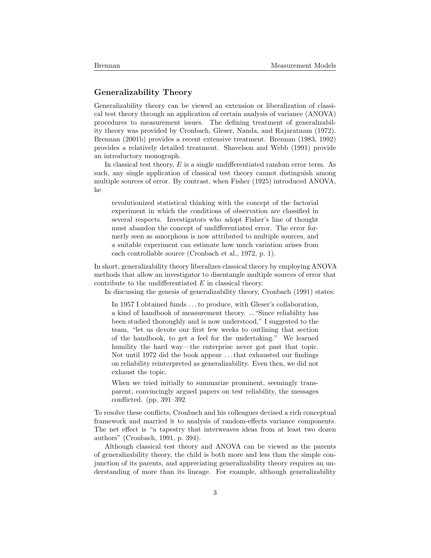#### **Generalizability Theory**

Generalizability theory can be viewed an extension or liberalization of classical test theory through an application of certain analysis of variance (ANOVA) procedures to measurement issues. The defining treatment of generalizability theory was provided by Cronbach, Gleser, Nanda, and Rajaratnam (1972). Brennan (2001b) provides a recent extensive treatment. Brennan (1983, 1992) provides a relatively detailed treatment. Shavelson and Webb (1991) provide an introductory monograph.

In classical test theory, *E* is a single undifferentiated random error term. As such, any single application of classical test theory cannot distinguish among multiple sources of error. By contrast, when Fisher (1925) introduced ANOVA, he

revolutionized statistical thinking with the concept of the factorial experiment in which the conditions of observation are classified in several respects. Investigators who adopt Fisher's line of thought must abandon the concept of undifferentiated error. The error formerly seen as amorphous is now attributed to multiple sources, and a suitable experiment can estimate how much variation arises from each controllable source (Cronbach et al., 1972, p. 1).

In short, generalizability theory liberalizes classical theory by employing ANOVA methods that allow an investigator to disentangle multiple sources of error that contribute to the undifferentiated *E* in classical theory.

In discussing the genesis of generalizability theory, Cronbach (1991) states:

In 1957 I obtained funds ...to produce, with Gleser's collaboration, a kind of handbook of measurement theory. ..."Since reliability has been studied thoroughly and is now understood," I suggested to the team, "let us devote our first few weeks to outlining that section of the handbook, to get a feel for the undertaking." We learned humility the hard way—the enterprise never got past that topic. Not until 1972 did the book appear . . . that exhausted our findings on reliability reinterpreted as generalizability. Even then, we did not exhaust the topic.

When we tried initially to summarize prominent, seemingly transparent, convincingly argued papers on test reliability, the messages conflicted. (pp. 391–392

To resolve these conflicts, Cronbach and his colleagues devised a rich conceptual framework and married it to analysis of random-effects variance components. The net effect is "a tapestry that interweaves ideas from at least two dozen authors" (Cronbach, 1991, p. 394).

Although classical test theory and ANOVA can be viewed as the parents of generalizability theory, the child is both more and less than the simple conjunction of its parents, and appreciating generalizability theory requires an understanding of more than its lineage. For example, although generalizability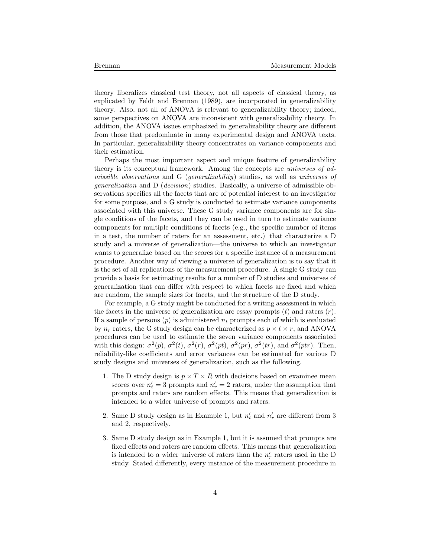theory liberalizes classical test theory, not all aspects of classical theory, as explicated by Feldt and Brennan (1989), are incorporated in generalizability theory. Also, not all of ANOVA is relevant to generalizability theory; indeed, some perspectives on ANOVA are inconsistent with generalizability theory. In addition, the ANOVA issues emphasized in generalizability theory are different from those that predominate in many experimental design and ANOVA texts. In particular, generalizability theory concentrates on variance components and their estimation.

Perhaps the most important aspect and unique feature of generalizability theory is its conceptual framework. Among the concepts are universes of admissible observations and G (generalizability) studies, as well as universes of generalization and D (decision) studies. Basically, a universe of admissible observations specifies all the facets that are of potential interest to an investigator for some purpose, and a G study is conducted to estimate variance components associated with this universe. These G study variance components are for single conditions of the facets, and they can be used in turn to estimate variance components for multiple conditions of facets (e.g., the specific number of items in a test, the number of raters for an assessment, etc.) that characterize a D study and a universe of generalization—the universe to which an investigator wants to generalize based on the scores for a specific instance of a measurement procedure. Another way of viewing a universe of generalization is to say that it is the set of all replications of the measurement procedure. A single G study can provide a basis for estimating results for a number of D studies and universes of generalization that can differ with respect to which facets are fixed and which are random, the sample sizes for facets, and the structure of the D study.

For example, a G study might be conducted for a writing assessment in which the facets in the universe of generalization are essay prompts (*t*) and raters (*r*). If a sample of persons  $(p)$  is administered  $n<sub>t</sub>$  prompts each of which is evaluated by  $n_r$  raters, the G study design can be characterized as  $p \times t \times r$ , and ANOVA procedures can be used to estimate the seven variance components associated with this design:  $\sigma^2(p)$ ,  $\sigma^2(t)$ ,  $\sigma^2(r)$ ,  $\sigma^2(pt)$ ,  $\sigma^2(pr)$ ,  $\sigma^2(tr)$ , and  $\sigma^2(pt)$ . Then, reliability-like coefficients and error variances can be estimated for various D study designs and universes of generalization, such as the following.

- 1. The D study design is  $p \times T \times R$  with decisions based on examinee mean scores over  $n'_t = 3$  prompts and  $n'_r = 2$  raters, under the assumption that prompts and raters are random effects. This means that generalization is intended to a wider universe of prompts and raters.
- 2. Same D study design as in Example 1, but  $n'_t$  and  $n'_r$  are different from 3 and 2, respectively.
- 3. Same D study design as in Example 1, but it is assumed that prompts are fixed effects and raters are random effects. This means that generalization is intended to a wider universe of raters than the  $n'_r$  raters used in the D study. Stated differently, every instance of the measurement procedure in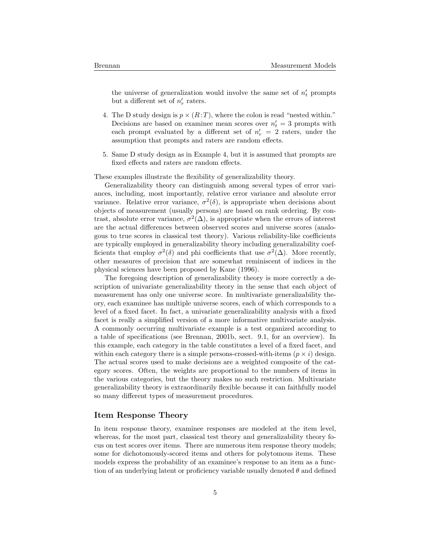the universe of generalization would involve the same set of  $n'_t$  prompts but a different set of  $n'_r$  raters.

- 4. The D study design is  $p \times (R:T)$ , where the colon is read "nested within." Decisions are based on examinee mean scores over  $n'_t = 3$  prompts with each prompt evaluated by a different set of  $n'_r = 2$  raters, under the assumption that prompts and raters are random effects.
- 5. Same D study design as in Example 4, but it is assumed that prompts are fixed effects and raters are random effects.

These examples illustrate the flexibility of generalizability theory.

Generalizability theory can distinguish among several types of error variances, including, most importantly, relative error variance and absolute error variance. Relative error variance,  $\sigma^2(\delta)$ , is appropriate when decisions about objects of measurement (usually persons) are based on rank ordering. By contrast, absolute error variance,  $\sigma^2(\Delta)$ , is appropriate when the errors of interest are the actual differences between observed scores and universe scores (analogous to true scores in classical test theory). Various reliability-like coefficients are typically employed in generalizability theory including generalizability coefficients that employ  $\sigma^2(\delta)$  and phi coefficients that use  $\sigma^2(\Delta)$ . More recently, other measures of precision that are somewhat reminiscent of indices in the physical sciences have been proposed by Kane (1996).

The foregoing description of generalizability theory is more correctly a description of univariate generalizability theory in the sense that each object of measurement has only one universe score. In multivariate generalizability theory, each examinee has multiple universe scores, each of which corresponds to a level of a fixed facet. In fact, a univariate generalizability analysis with a fixed facet is really a simplified version of a more informative multivariate analysis. A commonly occurring multivariate example is a test organized according to a table of specifications (see Brennan, 2001b, sect. 9.1, for an overview). In this example, each category in the table constitutes a level of a fixed facet, and within each category there is a simple persons-crossed-with-items  $(p \times i)$  design. The actual scores used to make decisions are a weighted composite of the category scores. Often, the weights are proportional to the numbers of items in the various categories, but the theory makes no such restriction. Multivariate generalizability theory is extraordinarily flexible because it can faithfully model so many different types of measurement procedures.

#### **Item Response Theory**

In item response theory, examinee responses are modeled at the item level, whereas, for the most part, classical test theory and generalizability theory focus on test scores over items. There are numerous item response theory models; some for dichotomously-scored items and others for polytomous items. These models express the probability of an examinee's response to an item as a function of an underlying latent or proficiency variable usually denoted *θ* and defined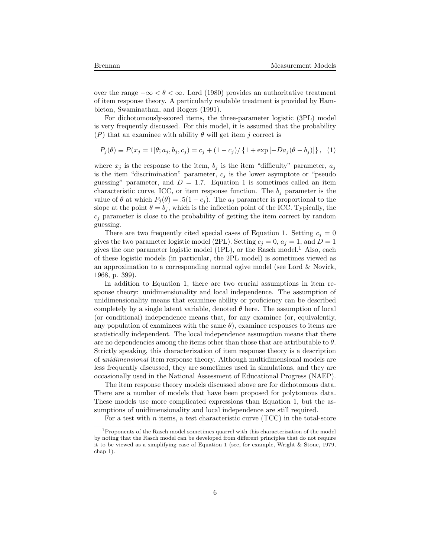over the range  $-\infty < \theta < \infty$ . Lord (1980) provides an authoritative treatment of item response theory. A particularly readable treatment is provided by Hambleton, Swaminathan, and Rogers (1991).

For dichotomously-scored items, the three-parameter logistic (3PL) model is very frequently discussed. For this model, it is assumed that the probability (*P*) that an examinee with ability  $\theta$  will get item *j* correct is

$$
P_j(\theta) \equiv P(x_j = 1 | \theta; a_j, b_j, c_j) = c_j + (1 - c_j) / \{1 + \exp[-Da_j(\theta - b_j)]\}, \quad (1)
$$

where  $x_j$  is the response to the item,  $b_j$  is the item "difficulty" parameter,  $a_j$ is the item "discrimination" parameter,  $c_j$  is the lower asymptote or "pseudo guessing" parameter, and  $D = 1.7$ . Equation 1 is sometimes called an item characteristic curve, ICC, or item response function. The  $b_j$  parameter is the value of  $\theta$  at which  $P_i(\theta) = .5(1 - c_i)$ . The  $a_i$  parameter is proportional to the slope at the point  $\theta = b_j$ , which is the inflection point of the ICC. Typically, the  $c_i$  parameter is close to the probability of getting the item correct by random guessing.

There are two frequently cited special cases of Equation 1. Setting  $c_i = 0$ gives the two parameter logistic model (2PL). Setting  $c_i = 0$ ,  $a_i = 1$ , and  $D = 1$ gives the one parameter logistic model  $(1PL)$ , or the Rasch model.<sup>1</sup> Also, each of these logistic models (in particular, the 2PL model) is sometimes viewed as an approximation to a corresponding normal ogive model (see Lord & Novick, 1968, p. 399).

In addition to Equation 1, there are two crucial assumptions in item response theory: unidimensionality and local independence. The assumption of unidimensionality means that examinee ability or proficiency can be described completely by a single latent variable, denoted  $\theta$  here. The assumption of local (or conditional) independence means that, for any examinee (or, equivalently, any population of examinees with the same  $\theta$ ), examinee responses to items are statistically independent. The local independence assumption means that there are no dependencies among the items other than those that are attributable to  $\theta$ . Strictly speaking, this characterization of item response theory is a description of unidimensional item response theory. Although multidimensional models are less frequently discussed, they are sometimes used in simulations, and they are occasionally used in the National Assessment of Educational Progress (NAEP).

The item response theory models discussed above are for dichotomous data. There are a number of models that have been proposed for polytomous data. These models use more complicated expressions than Equation 1, but the assumptions of unidimensionality and local independence are still required.

For a test with *n* items, a test characteristic curve (TCC) in the total-score

<sup>1</sup>Proponents of the Rasch model sometimes quarrel with this characterization of the model by noting that the Rasch model can be developed from different principles that do not require it to be viewed as a simplifying case of Equation 1 (see, for example, Wright & Stone, 1979, chap 1).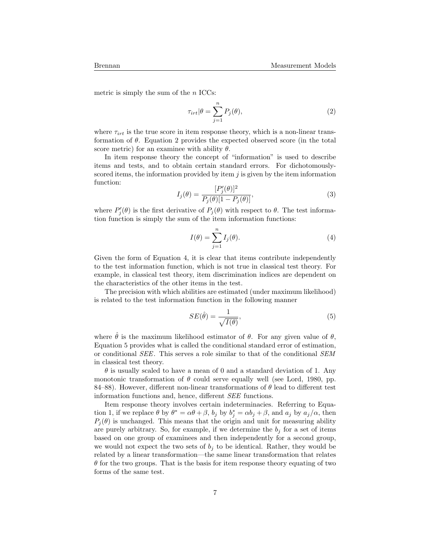metric is simply the sum of the *n* ICCs:

$$
\tau_{irt}|\theta = \sum_{j=1}^{n} P_j(\theta),\tag{2}
$$

where  $\tau_{irt}$  is the true score in item response theory, which is a non-linear transformation of *θ*. Equation 2 provides the expected observed score (in the total score metric) for an examinee with ability *θ*.

In item response theory the concept of "information" is used to describe items and tests, and to obtain certain standard errors. For dichotomouslyscored items, the information provided by item *j* is given by the item information function:

$$
I_j(\theta) = \frac{[P'_j(\theta)]^2}{P_j(\theta)[1 - P_j(\theta)]},\tag{3}
$$

where  $P'_{j}(\theta)$  is the first derivative of  $P_{j}(\theta)$  with respect to  $\theta$ . The test information function is simply the sum of the item information functions:

$$
I(\theta) = \sum_{j=1}^{n} I_j(\theta).
$$
 (4)

Given the form of Equation 4, it is clear that items contribute independently to the test information function, which is not true in classical test theory. For example, in classical test theory, item discrimination indices are dependent on the characteristics of the other items in the test.

The precision with which abilities are estimated (under maximum likelihood) is related to the test information function in the following manner

$$
SE(\hat{\theta}) = \frac{1}{\sqrt{I(\theta)}},\tag{5}
$$

where  $\hat{\theta}$  is the maximum likelihood estimator of  $\theta$ . For any given value of  $\theta$ , Equation 5 provides what is called the conditional standard error of estimation, or conditional SEE. This serves a role similar to that of the conditional SEM in classical test theory.

 $\theta$  is usually scaled to have a mean of 0 and a standard deviation of 1. Any monotonic transformation of  $\theta$  could serve equally well (see Lord, 1980, pp. 84–88). However, different non-linear transformations of *θ* lead to different test information functions and, hence, different SEE functions.

Item response theory involves certain indeterminacies. Referring to Equation 1, if we replace  $\theta$  by  $\theta^* = \alpha \theta + \beta$ ,  $b_j$  by  $b_j^* = \alpha b_j + \beta$ , and  $a_j$  by  $a_j/\alpha$ , then  $P_i(\theta)$  is unchanged. This means that the origin and unit for measuring ability are purely arbitrary. So, for example, if we determine the  $b_j$  for a set of items based on one group of examinees and then independently for a second group, we would not expect the two sets of  $b_j$  to be identical. Rather, they would be related by a linear transformation—the same linear transformation that relates  $\theta$  for the two groups. That is the basis for item response theory equating of two forms of the same test.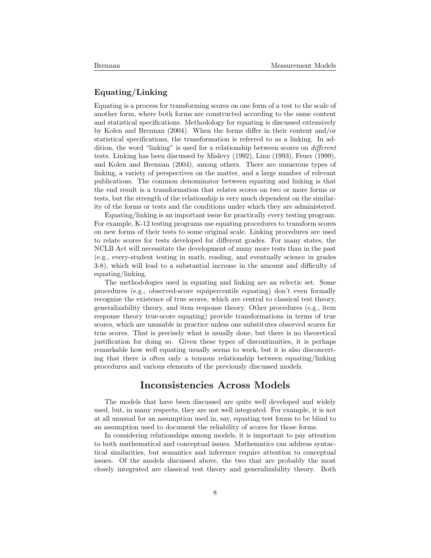### **Equating/Linking**

Equating is a process for transforming scores on one form of a test to the scale of another form, where both forms are constructed according to the same content and statistical specifications. Methodology for equating is discussed extensively by Kolen and Brennan (2004). When the forms differ in their content and/or statistical specifications, the transformation is referred to as a linking. In addition, the word "linking" is used for a relationship between scores on *different* tests. Linking has been discussed by Mislevy (1992), Linn (1993), Feuer (1999), and Kolen and Brennan (2004), among others. There are numerous types of linking, a variety of perspectives on the matter, and a large number of relevant publications. The common denominator between equating and linking is that the end result is a transformation that relates scores on two or more forms or tests, but the strength of the relationship is very much dependent on the similarity of the forms or tests and the conditions under which they are administered.

Equating/linking is an important issue for practically every testing program. For example, K-12 testing programs use equating procedures to transform scores on new forms of their tests to some original scale. Linking procedures are used to relate scores for tests developed for different grades. For many states, the NCLB Act will necessitate the development of many more tests than in the past (e.g., every-student testing in math, reading, and eventually science in grades 3-8), which will lead to a substantial increase in the amount and difficulty of equating/linking.

The methodologies used in equating and linking are an eclectic set. Some procedures (e.g., observed-score equipercentile equating) don't even formally recognize the existence of true scores, which are central to classical test theory, generalizability theory, and item response theory. Other procedures (e.g., item response theory true-score equating) provide transformations in terms of true scores, which are unusable in practice unless one substitutes observed scores for true scores. That is precisely what is usually done, but there is no theoretical justification for doing so. Given these types of discontinuities, it is perhaps remarkable how well equating usually seems to work, but it is also disconcerting that there is often only a tenuous relationship between equating/linking procedures and various elements of the previously discussed models.

# **Inconsistencies Across Models**

The models that have been discussed are quite well developed and widely used, but, in many respects, they are not well integrated. For example, it is not at all unusual for an assumption used in, say, equating test forms to be blind to an assumption used to document the reliability of scores for those forms.

In considering relationships among models, it is important to pay attention to both mathematical and conceptual issues. Mathematics can address syntactical similarities, but semantics and inference require attention to conceptual issues. Of the models discussed above, the two that are probably the most closely integrated are classical test theory and generalizability theory. Both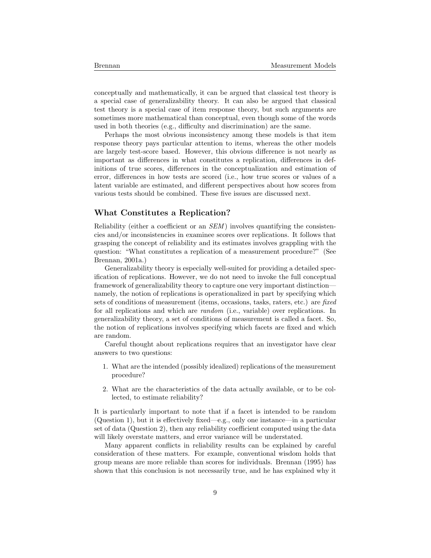conceptually and mathematically, it can be argued that classical test theory is a special case of generalizability theory. It can also be argued that classical test theory is a special case of item response theory, but such arguments are sometimes more mathematical than conceptual, even though some of the words used in both theories (e.g., difficulty and discrimination) are the same.

Perhaps the most obvious inconsistency among these models is that item response theory pays particular attention to items, whereas the other models are largely test-score based. However, this obvious difference is not nearly as important as differences in what constitutes a replication, differences in definitions of true scores, differences in the conceptualization and estimation of error, differences in how tests are scored (i.e., how true scores or values of a latent variable are estimated, and different perspectives about how scores from various tests should be combined. These five issues are discussed next.

### **What Constitutes a Replication?**

Reliability (either a coefficient or an  $SEM$ ) involves quantifying the consistencies and/or inconsistencies in examinee scores over replications. It follows that grasping the concept of reliability and its estimates involves grappling with the question: "What constitutes a replication of a measurement procedure?" (See Brennan, 2001a.)

Generalizability theory is especially well-suited for providing a detailed specification of replications. However, we do not need to invoke the full conceptual framework of generalizability theory to capture one very important distinction namely, the notion of replications is operationalized in part by specifying which sets of conditions of measurement (items, occasions, tasks, raters, etc.) are fixed for all replications and which are random (i.e., variable) over replications. In generalizability theory, a set of conditions of measurement is called a facet. So, the notion of replications involves specifying which facets are fixed and which are random.

Careful thought about replications requires that an investigator have clear answers to two questions:

- 1. What are the intended (possibly idealized) replications of the measurement procedure?
- 2. What are the characteristics of the data actually available, or to be collected, to estimate reliability?

It is particularly important to note that if a facet is intended to be random (Question 1), but it is effectively fixed—e.g., only one instance—in a particular set of data (Question 2), then any reliability coefficient computed using the data will likely overstate matters, and error variance will be understated.

Many apparent conflicts in reliability results can be explained by careful consideration of these matters. For example, conventional wisdom holds that group means are more reliable than scores for individuals. Brennan (1995) has shown that this conclusion is not necessarily true, and he has explained why it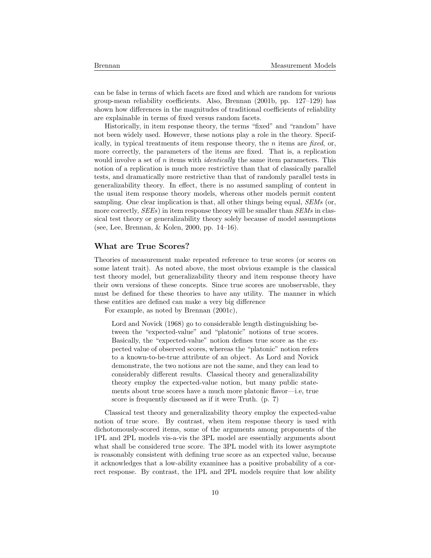can be false in terms of which facets are fixed and which are random for various group-mean reliability coefficients. Also, Brennan (2001b, pp. 127–129) has shown how differences in the magnitudes of traditional coefficients of reliability are explainable in terms of fixed versus random facets.

Historically, in item response theory, the terms "fixed" and "random" have not been widely used. However, these notions play a role in the theory. Specifically, in typical treatments of item response theory, the *n* items are fixed, or, more correctly, the parameters of the items are fixed. That is, a replication would involve a set of *n* items with *identically* the same item parameters. This notion of a replication is much more restrictive than that of classically parallel tests, and dramatically more restrictive than that of randomly parallel tests in generalizability theory. In effect, there is no assumed sampling of content in the usual item response theory models, whereas other models permit content sampling. One clear implication is that, all other things being equal, SEMs (or, more correctly, *SEEs*) in item response theory will be smaller than *SEMs* in classical test theory or generalizability theory solely because of model assumptions (see, Lee, Brennan, & Kolen, 2000, pp. 14–16).

#### **What are True Scores?**

Theories of measurement make repeated reference to true scores (or scores on some latent trait). As noted above, the most obvious example is the classical test theory model, but generalizability theory and item response theory have their own versions of these concepts. Since true scores are unobservable, they must be defined for these theories to have any utility. The manner in which these entities are defined can make a very big difference

For example, as noted by Brennan (2001c),

Lord and Novick (1968) go to considerable length distinguishing between the "expected-value" and "platonic" notions of true scores. Basically, the "expected-value" notion defines true score as the expected value of observed scores, whereas the "platonic" notion refers to a known-to-be-true attribute of an object. As Lord and Novick demonstrate, the two notions are not the same, and they can lead to considerably different results. Classical theory and generalizability theory employ the expected-value notion, but many public statements about true scores have a much more platonic flavor—i.e, true score is frequently discussed as if it were Truth. (p. 7)

Classical test theory and generalizability theory employ the expected-value notion of true score. By contrast, when item response theory is used with dichotomously-scored items, some of the arguments among proponents of the 1PL and 2PL models vis-a-vis the 3PL model are essentially arguments about what shall be considered true score. The 3PL model with its lower asymptote is reasonably consistent with defining true score as an expected value, because it acknowledges that a low-ability examinee has a positive probability of a correct response. By contrast, the 1PL and 2PL models require that low ability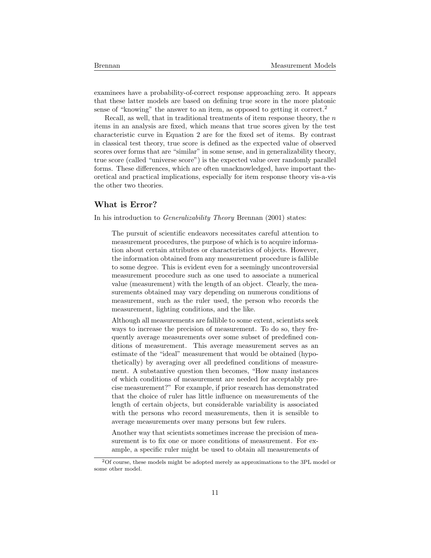examinees have a probability-of-correct response approaching zero. It appears that these latter models are based on defining true score in the more platonic sense of "knowing" the answer to an item, as opposed to getting it correct.<sup>2</sup>

Recall, as well, that in traditional treatments of item response theory, the *n* items in an analysis are fixed, which means that true scores given by the test characteristic curve in Equation 2 are for the fixed set of items. By contrast in classical test theory, true score is defined as the expected value of observed scores over forms that are "similar" in some sense, and in generalizability theory, true score (called "universe score") is the expected value over randomly parallel forms. These differences, which are often unacknowledged, have important theoretical and practical implications, especially for item response theory vis-a-vis the other two theories.

#### **What is Error?**

In his introduction to *Generalizability Theory* Brennan (2001) states:

The pursuit of scientific endeavors necessitates careful attention to measurement procedures, the purpose of which is to acquire information about certain attributes or characteristics of objects. However, the information obtained from any measurement procedure is fallible to some degree. This is evident even for a seemingly uncontroversial measurement procedure such as one used to associate a numerical value (measurement) with the length of an object. Clearly, the measurements obtained may vary depending on numerous conditions of measurement, such as the ruler used, the person who records the measurement, lighting conditions, and the like.

Although all measurements are fallible to some extent, scientists seek ways to increase the precision of measurement. To do so, they frequently average measurements over some subset of predefined conditions of measurement. This average measurement serves as an estimate of the "ideal" measurement that would be obtained (hypothetically) by averaging over all predefined conditions of measurement. A substantive question then becomes, "How many instances of which conditions of measurement are needed for acceptably precise measurement?" For example, if prior research has demonstrated that the choice of ruler has little influence on measurements of the length of certain objects, but considerable variability is associated with the persons who record measurements, then it is sensible to average measurements over many persons but few rulers.

Another way that scientists sometimes increase the precision of measurement is to fix one or more conditions of measurement. For example, a specific ruler might be used to obtain all measurements of

<sup>2</sup>Of course, these models might be adopted merely as approximations to the 3PL model or some other model.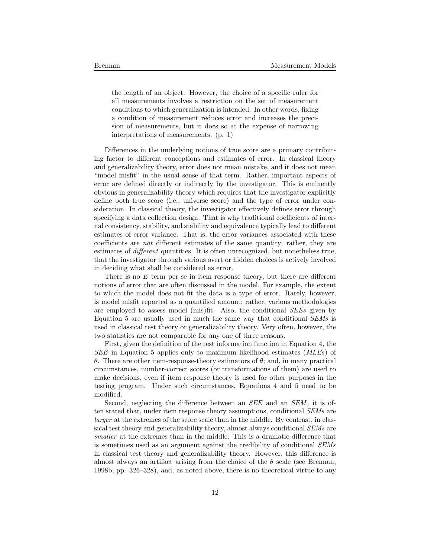the length of an object. However, the choice of a specific ruler for all measurements involves a restriction on the set of measurement conditions to which generalization is intended. In other words, fixing a condition of measurement reduces error and increases the precision of measurements, but it does so at the expense of narrowing interpretations of measurements. (p. 1)

Differences in the underlying notions of true score are a primary contributing factor to different conceptions and estimates of error. In classical theory and generalizability theory, error does not mean mistake, and it does not mean "model misfit" in the usual sense of that term. Rather, important aspects of error are defined directly or indirectly by the investigator. This is eminently obvious in generalizability theory which requires that the investigator explicitly define both true score (i.e., universe score) and the type of error under consideration. In classical theory, the investigator effectively defines error through specifying a data collection design. That is why traditional coefficients of internal consistency, stability, and stability and equivalence typically lead to different estimates of error variance. That is, the error variances associated with these coefficients are not different estimates of the same quantity; rather, they are estimates of different quantities. It is often unrecognized, but nonetheless true, that the investigator through various overt or hidden choices is actively involved in deciding what shall be considered as error.

There is no *E* term per se in item response theory, but there are different notions of error that are often discussed in the model. For example, the extent to which the model does not fit the data is a type of error. Rarely, however, is model misfit reported as a quantified amount; rather, various methodologies are employed to assess model (mis)fit. Also, the conditional SEEs given by Equation 5 are usually used in much the same way that conditional SEMs is used in classical test theory or generalizability theory. Very often, however, the two statistics are not comparable for any one of three reasons.

First, given the definition of the test information function in Equation 4, the  $SEE$  in Equation 5 applies only to maximum likelihood estimates ( $MLEs$ ) of *θ*. There are other item-response-theory estimators of *θ*; and, in many practical circumstances, number-correct scores (or transformations of them) are used to make decisions, even if item response theory is used for other purposes in the testing program. Under such circumstances, Equations 4 and 5 need to be modified.

Second, neglecting the difference between an *SEE* and an *SEM*, it is often stated that, under item response theory assumptions, conditional SEMs are larger at the extremes of the score scale than in the middle. By contrast, in classical test theory and generalizability theory, almost always conditional *SEMs* are smaller at the extremes than in the middle. This is a dramatic difference that is sometimes used as an argument against the credibility of conditional SEMs in classical test theory and generalizability theory. However, this difference is almost always an artifact arising from the choice of the  $\theta$  scale (see Brennan, 1998b, pp. 326–328), and, as noted above, there is no theoretical virtue to any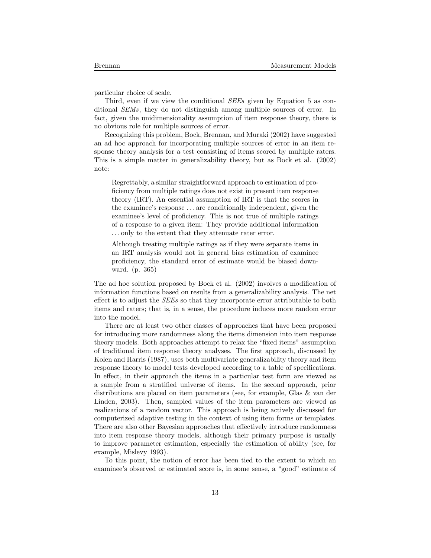particular choice of scale.

Third, even if we view the conditional *SEEs* given by Equation 5 as conditional SEMs, they do not distinguish among multiple sources of error. In fact, given the unidimensionality assumption of item response theory, there is no obvious role for multiple sources of error.

Recognizing this problem, Bock, Brennan, and Muraki (2002) have suggested an ad hoc approach for incorporating multiple sources of error in an item response theory analysis for a test consisting of items scored by multiple raters. This is a simple matter in generalizability theory, but as Bock et al. (2002) note:

Regrettably, a similar straightforward approach to estimation of proficiency from multiple ratings does not exist in present item response theory (IRT). An essential assumption of IRT is that the scores in the examinee's response . . . are conditionally independent, given the examinee's level of proficiency. This is not true of multiple ratings of a response to a given item: They provide additional information . . . only to the extent that they attenuate rater error.

Although treating multiple ratings as if they were separate items in an IRT analysis would not in general bias estimation of examinee proficiency, the standard error of estimate would be biased downward. (p. 365)

The ad hoc solution proposed by Bock et al. (2002) involves a modification of information functions based on results from a generalizability analysis. The net effect is to adjust the *SEEs* so that they incorporate error attributable to both items and raters; that is, in a sense, the procedure induces more random error into the model.

There are at least two other classes of approaches that have been proposed for introducing more randomness along the items dimension into item response theory models. Both approaches attempt to relax the "fixed items" assumption of traditional item response theory analyses. The first approach, discussed by Kolen and Harris (1987), uses both multivariate generalizability theory and item response theory to model tests developed according to a table of specifications. In effect, in their approach the items in a particular test form are viewed as a sample from a stratified universe of items. In the second approach, prior distributions are placed on item parameters (see, for example, Glas & van der Linden, 2003). Then, sampled values of the item parameters are viewed as realizations of a random vector. This approach is being actively discussed for computerized adaptive testing in the context of using item forms or templates. There are also other Bayesian approaches that effectively introduce randomness into item response theory models, although their primary purpose is usually to improve parameter estimation, especially the estimation of ability (see, for example, Mislevy 1993).

To this point, the notion of error has been tied to the extent to which an examinee's observed or estimated score is, in some sense, a "good" estimate of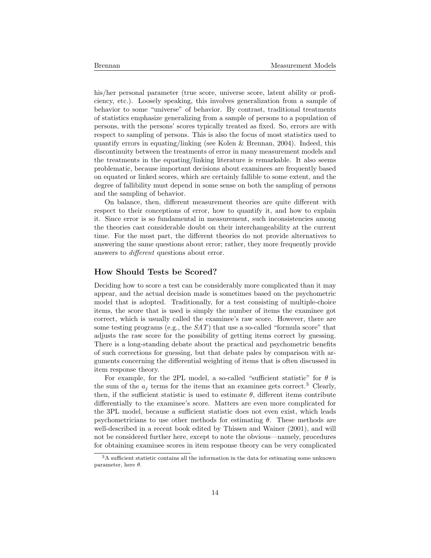his/her personal parameter (true score, universe score, latent ability or proficiency, etc.). Loosely speaking, this involves generalization from a sample of behavior to some "universe" of behavior. By contrast, traditional treatments of statistics emphasize generalizing from a sample of persons to a population of persons, with the persons' scores typically treated as fixed. So, errors are with respect to sampling of persons. This is also the focus of most statistics used to quantify errors in equating/linking (see Kolen & Brennan, 2004). Indeed, this discontinuity between the treatments of error in many measurement models and the treatments in the equating/linking literature is remarkable. It also seems problematic, because important decisions about examinees are frequently based on equated or linked scores, which are certainly fallible to some extent, and the degree of fallibility must depend in some sense on both the sampling of persons and the sampling of behavior.

On balance, then, different measurement theories are quite different with respect to their conceptions of error, how to quantify it, and how to explain it. Since error is so fundamental in measurement, such inconsistencies among the theories cast considerable doubt on their interchangeability at the current time. For the most part, the different theories do not provide alternatives to answering the same questions about error; rather, they more frequently provide answers to different questions about error.

#### **How Should Tests be Scored?**

Deciding how to score a test can be considerably more complicated than it may appear, and the actual decision made is sometimes based on the psychometric model that is adopted. Traditionally, for a test consisting of multiple-choice items, the score that is used is simply the number of items the examinee got correct, which is usually called the examinee's raw score. However, there are some testing programs (e.g., the  $SAT$ ) that use a so-called "formula score" that adjusts the raw score for the possibility of getting items correct by guessing. There is a long-standing debate about the practical and psychometric benefits of such corrections for guessing, but that debate pales by comparison with arguments concerning the differential weighting of items that is often discussed in item response theory.

For example, for the 2PL model, a so-called "sufficient statistic" for  $\theta$  is the sum of the  $a_j$  terms for the items that an examinee gets correct.<sup>3</sup> Clearly, then, if the sufficient statistic is used to estimate  $\theta$ , different items contribute differentially to the examinee's score. Matters are even more complicated for the 3PL model, because a sufficient statistic does not even exist, which leads psychometricians to use other methods for estimating *θ*. These methods are well-described in a recent book edited by Thissen and Wainer (2001), and will not be considered further here, except to note the obvious—namely, procedures for obtaining examinee scores in item response theory can be very complicated

 $3A$  sufficient statistic contains all the information in the data for estimating some unknown parameter, here  $\theta$ .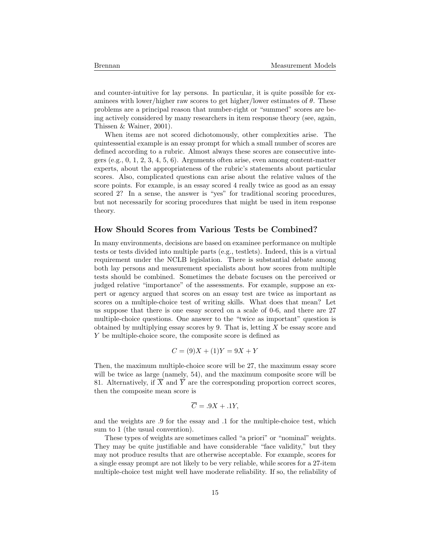and counter-intuitive for lay persons. In particular, it is quite possible for examinees with lower/higher raw scores to get higher/lower estimates of *θ*. These problems are a principal reason that number-right or "summed" scores are being actively considered by many researchers in item response theory (see, again, Thissen & Wainer, 2001).

When items are not scored dichotomously, other complexities arise. The quintessential example is an essay prompt for which a small number of scores are defined according to a rubric. Almost always these scores are consecutive integers (e.g., 0, 1, 2, 3, 4, 5, 6). Arguments often arise, even among content-matter experts, about the appropriateness of the rubric's statements about particular scores. Also, complicated questions can arise about the relative values of the score points. For example, is an essay scored 4 really twice as good as an essay scored 2? In a sense, the answer is "yes" for traditional scoring procedures, but not necessarily for scoring procedures that might be used in item response theory.

### **How Should Scores from Various Tests be Combined?**

In many environments, decisions are based on examinee performance on multiple tests or tests divided into multiple parts (e.g., testlets). Indeed, this is a virtual requirement under the NCLB legislation. There is substantial debate among both lay persons and measurement specialists about how scores from multiple tests should be combined. Sometimes the debate focuses on the perceived or judged relative "importance" of the assessments. For example, suppose an expert or agency argued that scores on an essay test are twice as important as scores on a multiple-choice test of writing skills. What does that mean? Let us suppose that there is one essay scored on a scale of 0-6, and there are 27 multiple-choice questions. One answer to the "twice as important" question is obtained by multiplying essay scores by 9. That is, letting *X* be essay score and *Y* be multiple-choice score, the composite score is defined as

$$
C = (9)X + (1)Y = 9X + Y
$$

Then, the maximum multiple-choice score will be 27, the maximum essay score will be twice as large (namely, 54), and the maximum composite score will be 81. Alternatively, if  $\overline{X}$  and  $\overline{Y}$  are the corresponding proportion correct scores, then the composite mean score is

$$
\overline{C} = .9X + .1Y,
$$

and the weights are .9 for the essay and .1 for the multiple-choice test, which sum to 1 (the usual convention).

These types of weights are sometimes called "a priori" or "nominal" weights. They may be quite justifiable and have considerable "face validity," but they may not produce results that are otherwise acceptable. For example, scores for a single essay prompt are not likely to be very reliable, while scores for a 27-item multiple-choice test might well have moderate reliability. If so, the reliability of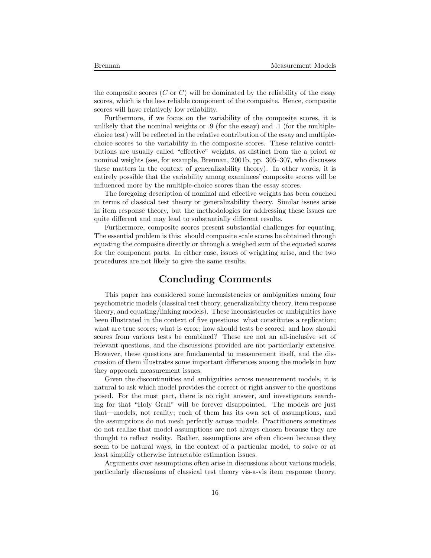the composite scores (*C* or  $\overline{C}$ ) will be dominated by the reliability of the essay scores, which is the less reliable component of the composite. Hence, composite scores will have relatively low reliability.

Furthermore, if we focus on the variability of the composite scores, it is unlikely that the nominal weights or .9 (for the essay) and .1 (for the multiplechoice test) will be reflected in the relative contribution of the essay and multiplechoice scores to the variability in the composite scores. These relative contributions are usually called "effective" weights, as distinct from the a priori or nominal weights (see, for example, Brennan, 2001b, pp. 305–307, who discusses these matters in the context of generalizability theory). In other words, it is entirely possible that the variability among examinees' composite scores will be influenced more by the multiple-choice scores than the essay scores.

The foregoing description of nominal and effective weights has been couched in terms of classical test theory or generalizability theory. Similar issues arise in item response theory, but the methodologies for addressing these issues are quite different and may lead to substantially different results.

Furthermore, composite scores present substantial challenges for equating. The essential problem is this: should composite scale scores be obtained through equating the composite directly or through a weighed sum of the equated scores for the component parts. In either case, issues of weighting arise, and the two procedures are not likely to give the same results.

# **Concluding Comments**

This paper has considered some inconsistencies or ambiguities among four psychometric models (classical test theory, generalizability theory, item response theory, and equating/linking models). These inconsistencies or ambiguities have been illustrated in the context of five questions: what constitutes a replication; what are true scores; what is error; how should tests be scored; and how should scores from various tests be combined? These are not an all-inclusive set of relevant questions, and the discussions provided are not particularly extensive. However, these questions are fundamental to measurement itself, and the discussion of them illustrates some important differences among the models in how they approach measurement issues.

Given the discontinuities and ambiguities across measurement models, it is natural to ask which model provides the correct or right answer to the questions posed. For the most part, there is no right answer, and investigators searching for that "Holy Grail" will be forever disappointed. The models are just that—models, not reality; each of them has its own set of assumptions, and the assumptions do not mesh perfectly across models. Practitioners sometimes do not realize that model assumptions are not always chosen because they are thought to reflect reality. Rather, assumptions are often chosen because they seem to be natural ways, in the context of a particular model, to solve or at least simplify otherwise intractable estimation issues.

Arguments over assumptions often arise in discussions about various models, particularly discussions of classical test theory vis-a-vis item response theory.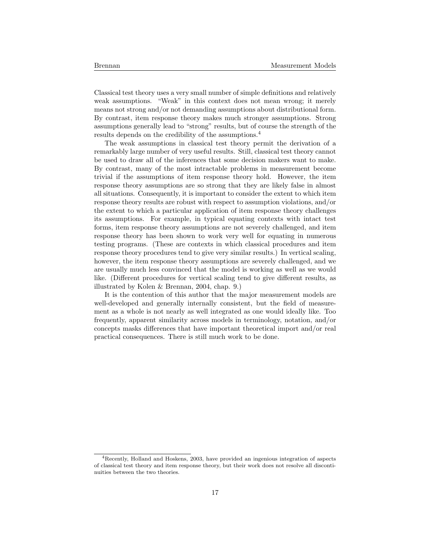Classical test theory uses a very small number of simple definitions and relatively weak assumptions. "Weak" in this context does not mean wrong; it merely means not strong and/or not demanding assumptions about distributional form. By contrast, item response theory makes much stronger assumptions. Strong assumptions generally lead to "strong" results, but of course the strength of the results depends on the credibility of the assumptions.<sup>4</sup>

The weak assumptions in classical test theory permit the derivation of a remarkably large number of very useful results. Still, classical test theory cannot be used to draw all of the inferences that some decision makers want to make. By contrast, many of the most intractable problems in measurement become trivial if the assumptions of item response theory hold. However, the item response theory assumptions are so strong that they are likely false in almost all situations. Consequently, it is important to consider the extent to which item response theory results are robust with respect to assumption violations, and/or the extent to which a particular application of item response theory challenges its assumptions. For example, in typical equating contexts with intact test forms, item response theory assumptions are not severely challenged, and item response theory has been shown to work very well for equating in numerous testing programs. (These are contexts in which classical procedures and item response theory procedures tend to give very similar results.) In vertical scaling, however, the item response theory assumptions are severely challenged, and we are usually much less convinced that the model is working as well as we would like. (Different procedures for vertical scaling tend to give different results, as illustrated by Kolen & Brennan, 2004, chap. 9.)

It is the contention of this author that the major measurement models are well-developed and generally internally consistent, but the field of measurement as a whole is not nearly as well integrated as one would ideally like. Too frequently, apparent similarity across models in terminology, notation, and/or concepts masks differences that have important theoretical import and/or real practical consequences. There is still much work to be done.

<sup>4</sup>Recently, Holland and Hoskens, 2003, have provided an ingenious integration of aspects of classical test theory and item response theory, but their work does not resolve all discontinuities between the two theories.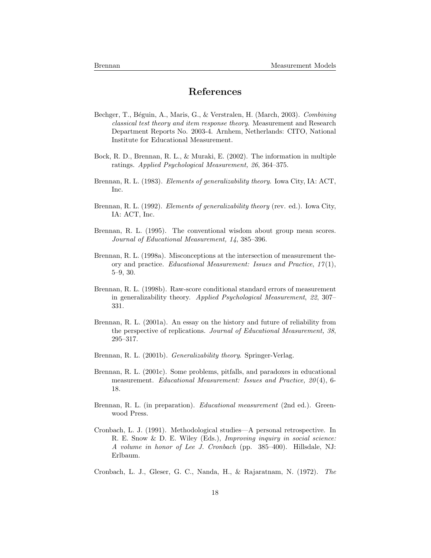# **References**

- Bechger, T., Béguin, A., Maris, G., & Verstralen, H. (March, 2003). Combining classical test theory and item response theory. Measurement and Research Department Reports No. 2003-4. Arnhem, Netherlands: CITO, National Institute for Educational Measurement.
- Bock, R. D., Brennan, R. L., & Muraki, E. (2002). The information in multiple ratings. Applied Psychological Measurement, 26, 364–375.
- Brennan, R. L. (1983). Elements of generalizability theory. Iowa City, IA: ACT, Inc.
- Brennan, R. L. (1992). Elements of generalizability theory (rev. ed.). Iowa City, IA: ACT, Inc.
- Brennan, R. L. (1995). The conventional wisdom about group mean scores. Journal of Educational Measurement, 14, 385–396.
- Brennan, R. L. (1998a). Misconceptions at the intersection of measurement theory and practice. Educational Measurement: Issues and Practice,  $17(1)$ , 5–9, 30.
- Brennan, R. L. (1998b). Raw-score conditional standard errors of measurement in generalizability theory. Applied Psychological Measurement, 22, 307– 331.
- Brennan, R. L. (2001a). An essay on the history and future of reliability from the perspective of replications. Journal of Educational Measurement, 38, 295–317.
- Brennan, R. L. (2001b). Generalizability theory. Springer-Verlag.
- Brennan, R. L. (2001c). Some problems, pitfalls, and paradoxes in educational measurement. Educational Measurement: Issues and Practice, 20(4), 6-18.
- Brennan, R. L. (in preparation). Educational measurement (2nd ed.). Greenwood Press.
- Cronbach, L. J. (1991). Methodological studies—A personal retrospective. In R. E. Snow & D. E. Wiley (Eds.), Improving inquiry in social science: Avolume in honor of Lee J. Cronbach (pp. 385–400). Hillsdale, NJ: Erlbaum.
- Cronbach, L. J., Gleser, G. C., Nanda, H., & Rajaratnam, N. (1972). The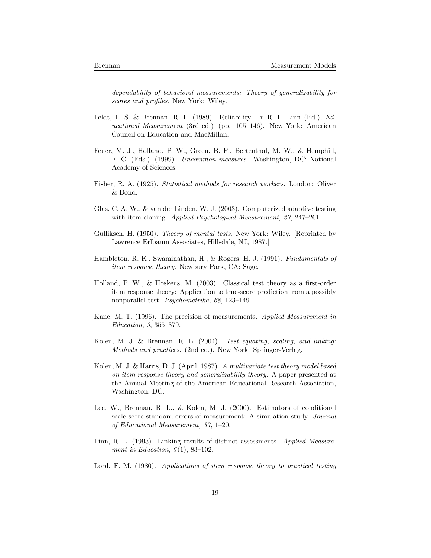dependability of behavioral measurements: Theory of generalizability for scores and profiles. New York: Wiley.

- Feldt, L. S. & Brennan, R. L. (1989). Reliability. In R. L. Linn (Ed.), Educational Measurement (3rd ed.) (pp. 105–146). New York: American Council on Education and MacMillan.
- Feuer, M. J., Holland, P. W., Green, B. F., Bertenthal, M. W., & Hemphill, F. C. (Eds.) (1999). Uncommon measures. Washington, DC: National Academy of Sciences.
- Fisher, R. A. (1925). Statistical methods for research workers. London: Oliver & Bond.
- Glas, C. A. W., & van der Linden, W. J. (2003). Computerized adaptive testing with item cloning. Applied Psychological Measurement, 27, 247–261.
- Gulliksen, H. (1950). *Theory of mental tests.* New York: Wiley. [Reprinted by Lawrence Erlbaum Associates, Hillsdale, NJ, 1987.]
- Hambleton, R. K., Swaminathan, H., & Rogers, H. J. (1991). Fundamentals of item response theory. Newbury Park, CA: Sage.
- Holland, P. W., & Hoskens, M. (2003). Classical test theory as a first-order item response theory: Application to true-score prediction from a possibly nonparallel test. Psychometrika, 68, 123–149.
- Kane, M. T. (1996). The precision of measurements. Applied Measurement in Education, 9, 355–379.
- Kolen, M. J. & Brennan, R. L. (2004). Test equating, scaling, and linking: Methods and practices. (2nd ed.). New York: Springer-Verlag.
- Kolen, M. J. & Harris, D. J. (April, 1987). A multivariate test theory model based on item response theory and generalizability theory. A paper presented at the Annual Meeting of the American Educational Research Association, Washington, DC.
- Lee, W., Brennan, R. L., & Kolen, M. J. (2000). Estimators of conditional scale-score standard errors of measurement: A simulation study. Journal of Educational Measurement, 37, 1–20.
- Linn, R. L. (1993). Linking results of distinct assessments. Applied Measurement in Education,  $6(1)$ , 83-102.
- Lord, F. M. (1980). Applications of item response theory to practical testing